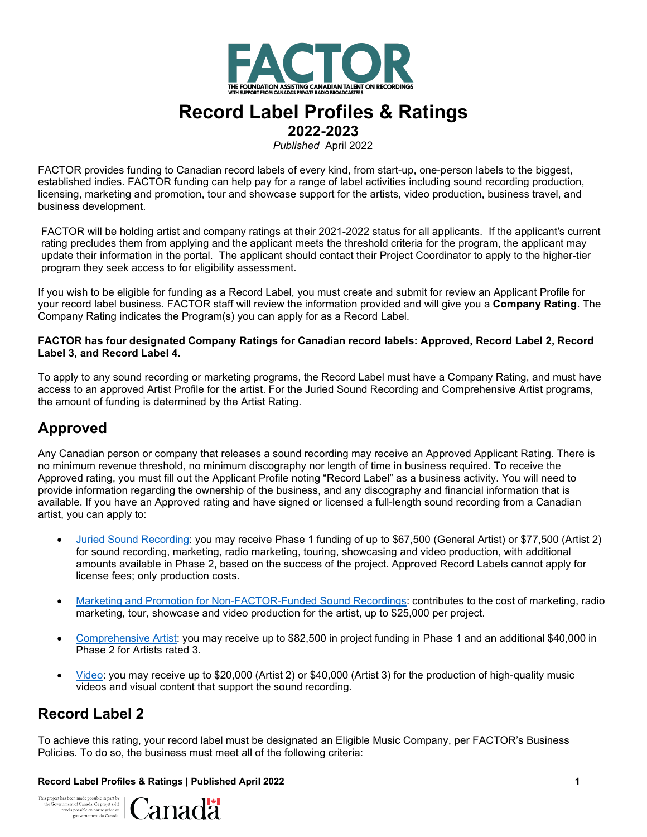

# **Record Label Profiles & Ratings**

**2022-2023**

*Published* April 2022

FACTOR provides funding to Canadian record labels of every kind, from start-up, one-person labels to the biggest, established indies. FACTOR funding can help pay for a range of label activities including sound recording production, licensing, marketing and promotion, tour and showcase support for the artists, video production, business travel, and business development.

FACTOR will be holding artist and company ratings at their 2021-2022 status for all applicants. If the applicant's current rating precludes them from applying and the applicant meets the threshold criteria for the program, the applicant may update their information in the portal. The applicant should contact their Project Coordinator to apply to the higher-tier program they seek access to for eligibility assessment.

If you wish to be eligible for funding as a Record Label, you must create and submit for review an Applicant Profile for your record label business. FACTOR staff will review the information provided and will give you a **Company Rating**. The Company Rating indicates the Program(s) you can apply for as a Record Label.

#### **FACTOR has four designated Company Ratings for Canadian record labels: Approved, Record Label 2, Record Label 3, and Record Label 4.**

To apply to any sound recording or marketing programs, the Record Label must have a Company Rating, and must have access to an approved Artist Profile for the artist. For the Juried Sound Recording and Comprehensive Artist programs, the amount of funding is determined by the Artist Rating.

## **Approved**

Any Canadian person or company that releases a sound recording may receive an Approved Applicant Rating. There is no minimum revenue threshold, no minimum discography nor length of time in business required. To receive the Approved rating, you must fill out the Applicant Profile noting "Record Label" as a business activity. You will need to provide information regarding the ownership of the business, and any discography and financial information that is available. If you have an Approved rating and have signed or licensed a full-length sound recording from a Canadian artist, you can apply to:

- [Juried Sound Recording: y](https://factorportalprod.blob.core.windows.net/portal/Documents/Updates/FACTOR_Juried_Sound_Recording_Program_Guidelines.pdf)ou may receive Phase 1 funding of up to \$67,500 (General Artist) or \$77,500 (Artist 2) for sound recording, marketing, radio marketing, touring, showcasing and video production, with additional amounts available in Phase 2, based on the success of the project. Approved Record Labels cannot apply for license fees; only production costs.
- Marketing and Promotion for [Non-FACTOR-Funded](https://factorportalprod.blob.core.windows.net/portal/Documents/Updates/FACTOR_Marketing_Non_Factor_Funded_Program_Guidelines.pdf) Sound Recordings: contributes to the cost of marketing, radio marketing, tour, showcase and video production for the artist, up to \$25,000 per project.
- [Comprehensive](https://factorportalprod.blob.core.windows.net/portal/Documents/Updates/FACTOR_Comprehensive_Artist_Program_Guidelines.pdf) Artist: you may receive up to \$82,500 in project funding in Phase 1 and an additional \$40,000 in Phase 2 for Artists rated 3.
- [Video:](https://factorportalprod.blob.core.windows.net/portal/Documents/Updates/FACTOR_Video_Program_Guidelines.pdf) you may receive up to \$20,000 (Artist 2) or \$40,000 (Artist 3) for the production of high-quality music videos and visual content that support the sound recording.

### **Record Label 2**

To achieve this rating, your record label must be designated an Eligible Music Company, per FACTOR's Business Policies. To do so, the business must meet all of the following criteria:

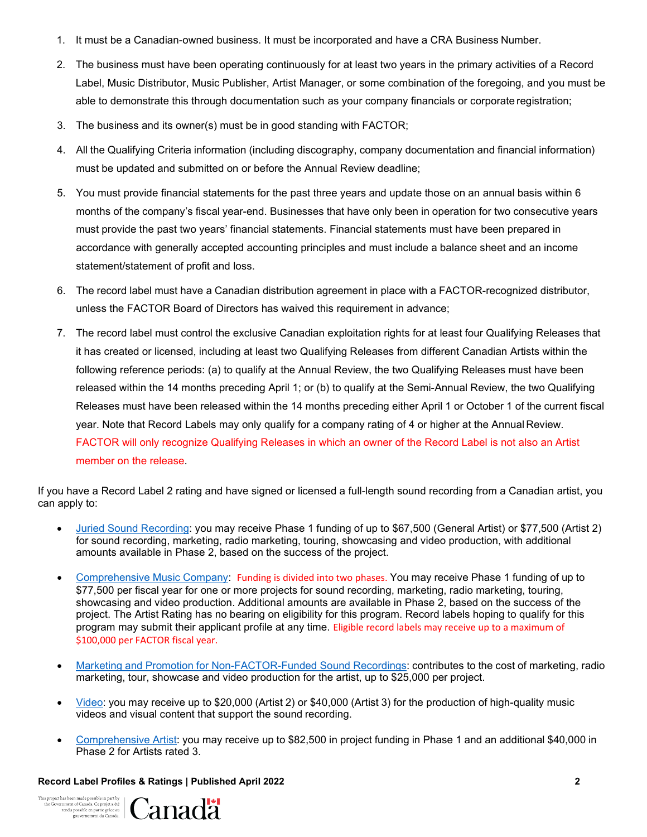- 1. It must be a Canadian-owned business. It must be incorporated and have a CRA Business Number.
- 2. The business must have been operating continuously for at least two years in the primary activities of a Record Label, Music Distributor, Music Publisher, Artist Manager, or some combination of the foregoing, and you must be able to demonstrate this through documentation such as your company financials or corporate registration;
- 3. The business and its owner(s) must be in good standing with FACTOR;
- 4. All the Qualifying Criteria information (including discography, company documentation and financial information) must be updated and submitted on or before the Annual Review deadline;
- 5. You must provide financial statements for the past three years and update those on an annual basis within 6 months of the company's fiscal year-end. Businesses that have only been in operation for two consecutive years must provide the past two years' financial statements. Financial statements must have been prepared in accordance with generally accepted accounting principles and must include a balance sheet and an income statement/statement of profit and loss.
- 6. The record label must have a Canadian distribution agreement in place with a FACTOR-recognized distributor, unless the FACTOR Board of Directors has waived this requirement in advance;
- 7. The record label must control the exclusive Canadian exploitation rights for at least four Qualifying Releases that it has created or licensed, including at least two Qualifying Releases from different Canadian Artists within the following reference periods: (a) to qualify at the Annual Review, the two Qualifying Releases must have been released within the 14 months preceding April 1; or (b) to qualify at the Semi-Annual Review, the two Qualifying Releases must have been released within the 14 months preceding either April 1 or October 1 of the current fiscal year. Note that Record Labels may only qualify for a company rating of 4 or higher at the Annual Review. FACTOR will only recognize Qualifying Releases in which an owner of the Record Label is not also an Artist member on the release.

If you have a Record Label 2 rating and have signed or licensed a full-length sound recording from a Canadian artist, you can apply to:

- [Juried Sound Recording: y](https://factorportalprod.blob.core.windows.net/portal/Documents/Updates/FACTOR_Juried_Sound_Recording_Program_Guidelines.pdf)ou may receive Phase 1 funding of up to \$67,500 (General Artist) or \$77,500 (Artist 2) for sound recording, marketing, radio marketing, touring, showcasing and video production, with additional amounts available in Phase 2, based on the success of the project.
- [Comprehensive](https://factorportalprod.blob.core.windows.net/portal/Documents/Updates/FACTOR_Comprehensive_Music_Company_Program_Guidelines.pdf) Music Company: Funding is divided into two phases. You may receive Phase 1 funding of up to \$77,500 per fiscal year for one or more projects for sound recording, marketing, radio marketing, touring, showcasing and video production. Additional amounts are available in Phase 2, based on the success of the project. The Artist Rating has no bearing on eligibility for this program. Record labels hoping to qualify for this program may submit their applicant profile at any time. Eligible record labels may receive up to a maximum of \$100,000 per FACTOR fiscal year.
- Marketing and Promotion for [Non-FACTOR-Funded](https://factorportalprod.blob.core.windows.net/portal/Documents/Updates/FACTOR_Marketing_Non_Factor_Funded_Program_Guidelines.pdf) Sound Recordings: contributes to the cost of marketing, radio marketing, tour, showcase and video production for the artist, up to \$25,000 per project.
- [Video:](https://factorportalprod.blob.core.windows.net/portal/Documents/Updates/FACTOR_Video_Program_Guidelines.pdf) you may receive up to \$20,000 (Artist 2) or \$40,000 (Artist 3) for the production of high-quality music videos and visual content that support the sound recording.
- [Comprehensive](https://factorportalprod.blob.core.windows.net/portal/Documents/Updates/FACTOR_Comprehensive_Artist_Program_Guidelines.pdf) Artist: you may receive up to \$82,500 in project funding in Phase 1 and an additional \$40,000 in Phase 2 for Artists rated 3.

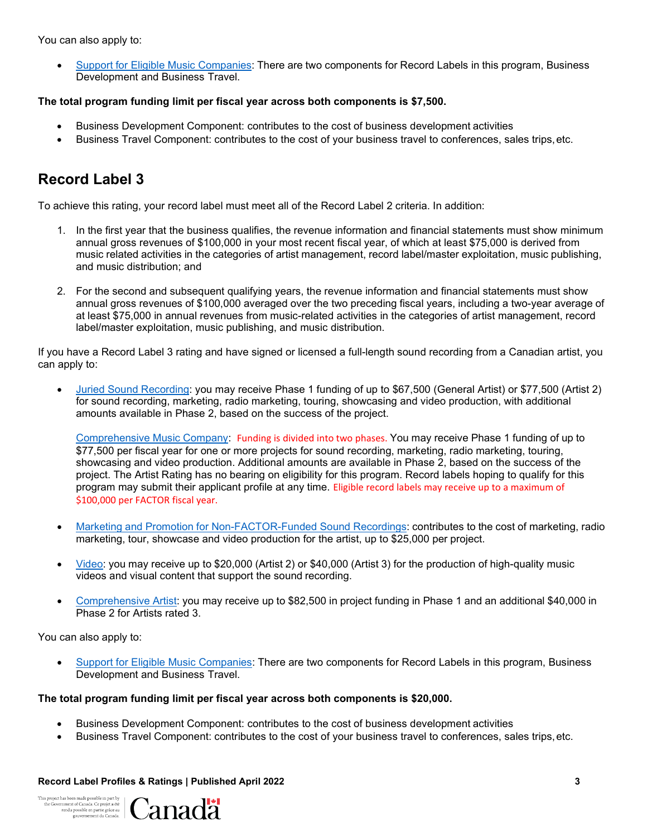You can also apply to:

• Support for Eligible Music [Companies:](https://factorportalprod.blob.core.windows.net/portal/Documents/Updates/FACTOR_Support_for_Eligible_Music_Companies_Program_Guidelines.pdf) There are two components for Record Labels in this program, Business Development and Business Travel.

### **The total program funding limit per fiscal year across both components is \$7,500.**

- Business Development Component: contributes to the cost of business development activities
- Business Travel Component: contributes to the cost of your business travel to conferences, sales trips,etc.

## **Record Label 3**

To achieve this rating, your record label must meet all of the Record Label 2 criteria. In addition:

- 1. In the first year that the business qualifies, the revenue information and financial statements must show minimum annual gross revenues of \$100,000 in your most recent fiscal year, of which at least \$75,000 is derived from music related activities in the categories of artist management, record label/master exploitation, music publishing, and music distribution; and
- 2. For the second and subsequent qualifying years, the revenue information and financial statements must show annual gross revenues of \$100,000 averaged over the two preceding fiscal years, including a two-year average of at least \$75,000 in annual revenues from music-related activities in the categories of artist management, record label/master exploitation, music publishing, and music distribution.

If you have a Record Label 3 rating and have signed or licensed a full-length sound recording from a Canadian artist, you can apply to:

• [Juried Sound Recording: y](https://factorportalprod.blob.core.windows.net/portal/Documents/Updates/FACTOR_Juried_Sound_Recording_Program_Guidelines.pdf)ou may receive Phase 1 funding of up to \$67,500 (General Artist) or \$77,500 (Artist 2) for sound recording, marketing, radio marketing, touring, showcasing and video production, with additional amounts available in Phase 2, based on the success of the project.

[Comprehensive](https://factorportalprod.blob.core.windows.net/portal/Documents/Updates/FACTOR_Comprehensive_Music_Company_Program_Guidelines.pdf) Music Company: Funding is divided into two phases. You may receive Phase 1 funding of up to \$77,500 per fiscal year for one or more projects for sound recording, marketing, radio marketing, touring, showcasing and video production. Additional amounts are available in Phase 2, based on the success of the project. The Artist Rating has no bearing on eligibility for this program. Record labels hoping to qualify for this program may submit their applicant profile at any time. Eligible record labels may receive up to a maximum of \$100,000 per FACTOR fiscal year.

- Marketing and Promotion for [Non-FACTOR-Funded](https://factorportalprod.blob.core.windows.net/portal/Documents/Updates/FACTOR_Marketing_Non_Factor_Funded_Program_Guidelines.pdf) Sound Recordings: contributes to the cost of marketing, radio marketing, tour, showcase and video production for the artist, up to \$25,000 per project.
- [Video:](https://factorportalprod.blob.core.windows.net/portal/Documents/Updates/FACTOR_Video_Program_Guidelines.pdf) you may receive up to \$20,000 (Artist 2) or \$40,000 (Artist 3) for the production of high-quality music videos and visual content that support the sound recording.
- [Comprehensive](https://factorportalprod.blob.core.windows.net/portal/Documents/Updates/FACTOR_Comprehensive_Artist_Program_Guidelines.pdf) Artist: you may receive up to \$82,500 in project funding in Phase 1 and an additional \$40,000 in Phase 2 for Artists rated 3.

You can also apply to:

• [Support for Eligible Music Companies: T](https://factorportalprod.blob.core.windows.net/portal/Documents/Updates/FACTOR_Support_for_Eligible_Music_Companies_Program_Guidelines.pdf)here are two components for Record Labels in this program, Business Development and Business Travel.

### **The total program funding limit per fiscal year across both components is \$20,000.**

- Business Development Component: contributes to the cost of business development activities
- Business Travel Component: contributes to the cost of your business travel to conferences, sales trips,etc.